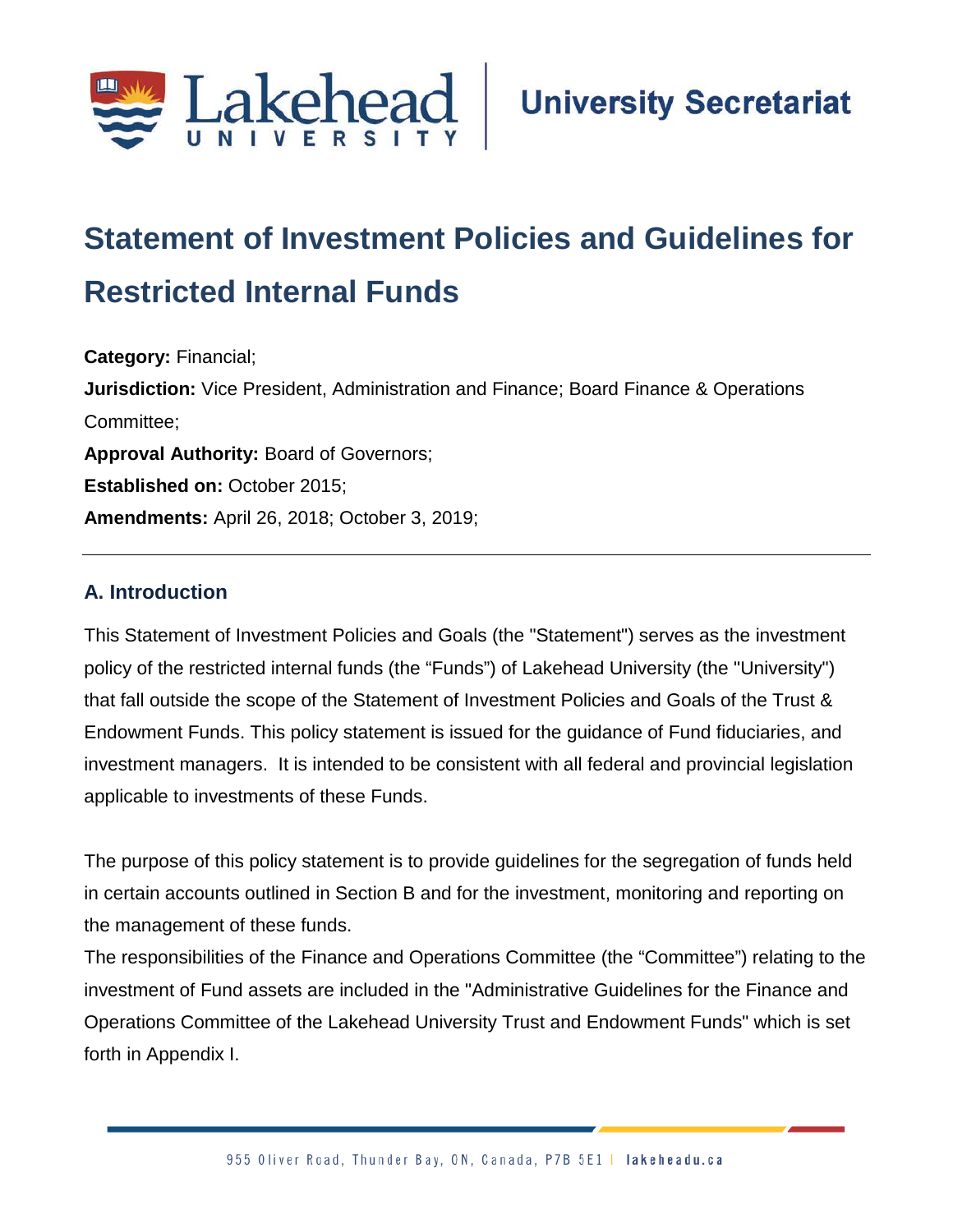

# **Statement of Investment Policies and Guidelines for Restricted Internal Funds;;**

**Category:** Financial; **Jurisdiction:** Vice President, Administration and Finance; Board Finance & Operations Committee; **Approval Authority:** Board of Governors; **Established on: October 2015; Amendments:** April 26, 2018; October 3, 2019;

#### **A. Introduction**

This Statement of Investment Policies and Goals (the "Statement") serves as the investment policy of the restricted internal funds (the "Funds") of Lakehead University (the "University") that fall outside the scope of the Statement of Investment Policies and Goals of the Trust & Endowment Funds. This policy statement is issued for the guidance of Fund fiduciaries, and investment managers. It is intended to be consistent with all federal and provincial legislation applicable to investments of these Funds.

The purpose of this policy statement is to provide guidelines for the segregation of funds held in certain accounts outlined in Section B and for the investment, monitoring and reporting on the management of these funds.

The responsibilities of the Finance and Operations Committee (the "Committee") relating to the investment of Fund assets are included in the "Administrative Guidelines for the Finance and Operations Committee of the Lakehead University Trust and Endowment Funds" which is set forth in Appendix I.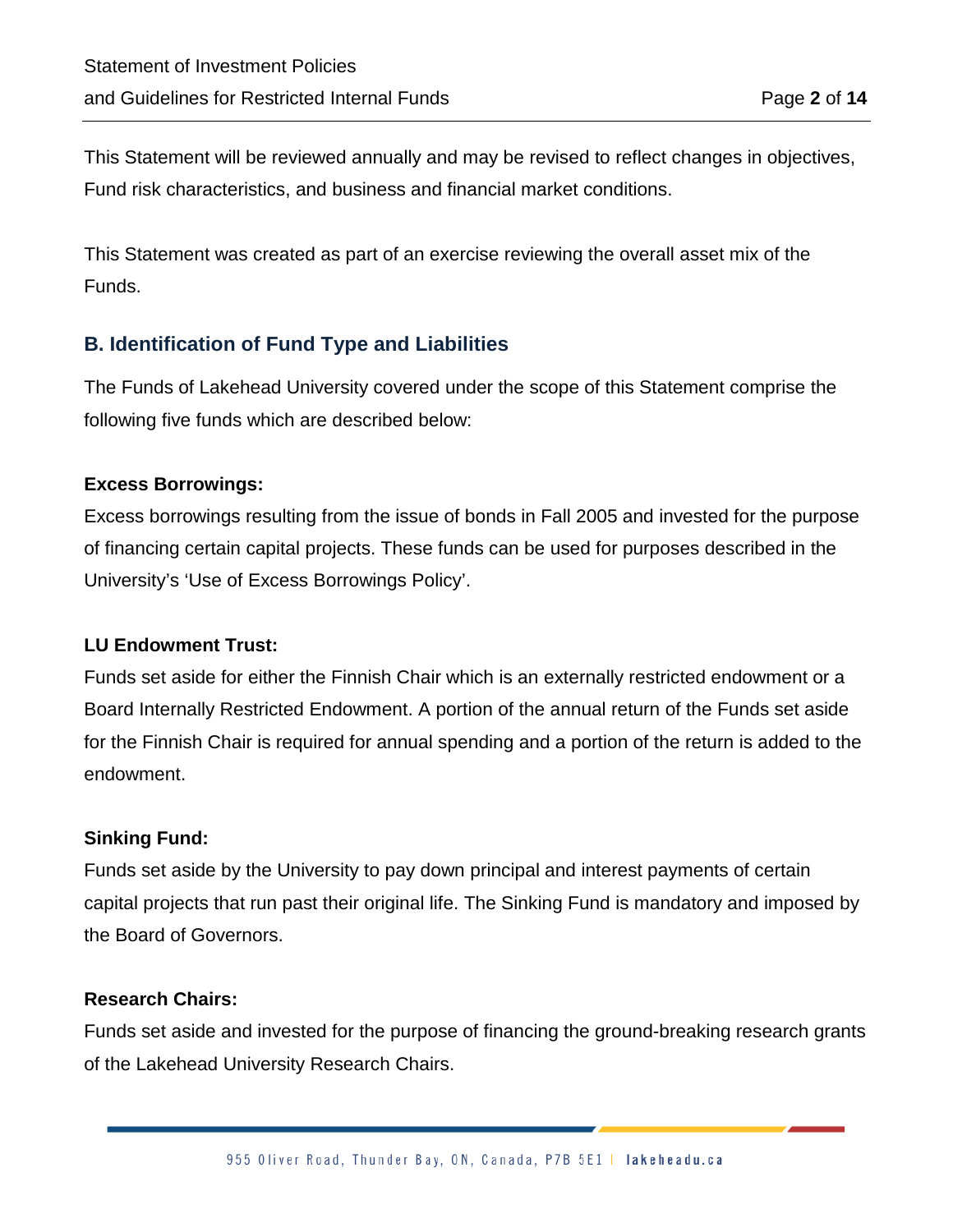This Statement will be reviewed annually and may be revised to reflect changes in objectives, Fund risk characteristics, and business and financial market conditions.

This Statement was created as part of an exercise reviewing the overall asset mix of the Funds.

#### **B. Identification of Fund Type and Liabilities**

The Funds of Lakehead University covered under the scope of this Statement comprise the following five funds which are described below:

#### **Excess Borrowings:**

Excess borrowings resulting from the issue of bonds in Fall 2005 and invested for the purpose of financing certain capital projects. These funds can be used for purposes described in the University's 'Use of Excess Borrowings Policy'.

#### **LU Endowment Trust:**

Funds set aside for either the Finnish Chair which is an externally restricted endowment or a Board Internally Restricted Endowment. A portion of the annual return of the Funds set aside for the Finnish Chair is required for annual spending and a portion of the return is added to the endowment.

#### **Sinking Fund:**

Funds set aside by the University to pay down principal and interest payments of certain capital projects that run past their original life. The Sinking Fund is mandatory and imposed by the Board of Governors.

#### **Research Chairs:**

Funds set aside and invested for the purpose of financing the ground-breaking research grants of the Lakehead University Research Chairs.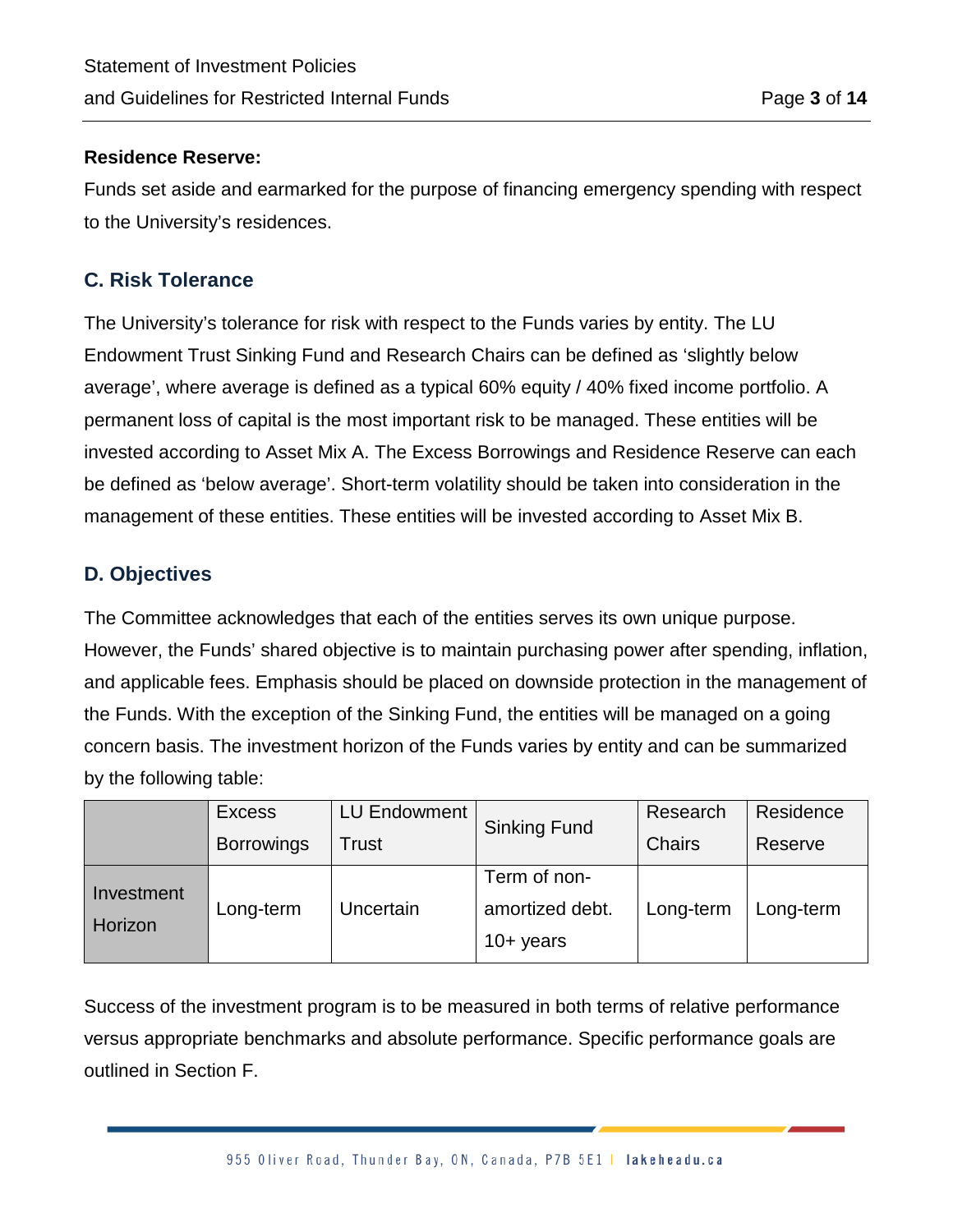#### **Residence Reserve:**

Funds set aside and earmarked for the purpose of financing emergency spending with respect to the University's residences.

#### **C. Risk Tolerance**

The University's tolerance for risk with respect to the Funds varies by entity. The LU Endowment Trust Sinking Fund and Research Chairs can be defined as 'slightly below average', where average is defined as a typical 60% equity / 40% fixed income portfolio. A permanent loss of capital is the most important risk to be managed. These entities will be invested according to Asset Mix A. The Excess Borrowings and Residence Reserve can each be defined as 'below average'. Short-term volatility should be taken into consideration in the management of these entities. These entities will be invested according to Asset Mix B.

#### **D. Objectives**

The Committee acknowledges that each of the entities serves its own unique purpose. However, the Funds' shared objective is to maintain purchasing power after spending, inflation, and applicable fees. Emphasis should be placed on downside protection in the management of the Funds. With the exception of the Sinking Fund, the entities will be managed on a going concern basis. The investment horizon of the Funds varies by entity and can be summarized by the following table:

|                   | <b>Excess</b> | LU Endowment        |                 | Research  | Residence |
|-------------------|---------------|---------------------|-----------------|-----------|-----------|
| <b>Borrowings</b> | Trust         | <b>Sinking Fund</b> | <b>Chairs</b>   | Reserve   |           |
| Investment        |               |                     | Term of non-    |           |           |
| Horizon           | Long-term     | Uncertain           | amortized debt. | Long-term | Long-term |
|                   |               |                     | $10+$ years     |           |           |

Success of the investment program is to be measured in both terms of relative performance versus appropriate benchmarks and absolute performance. Specific performance goals are outlined in Section F.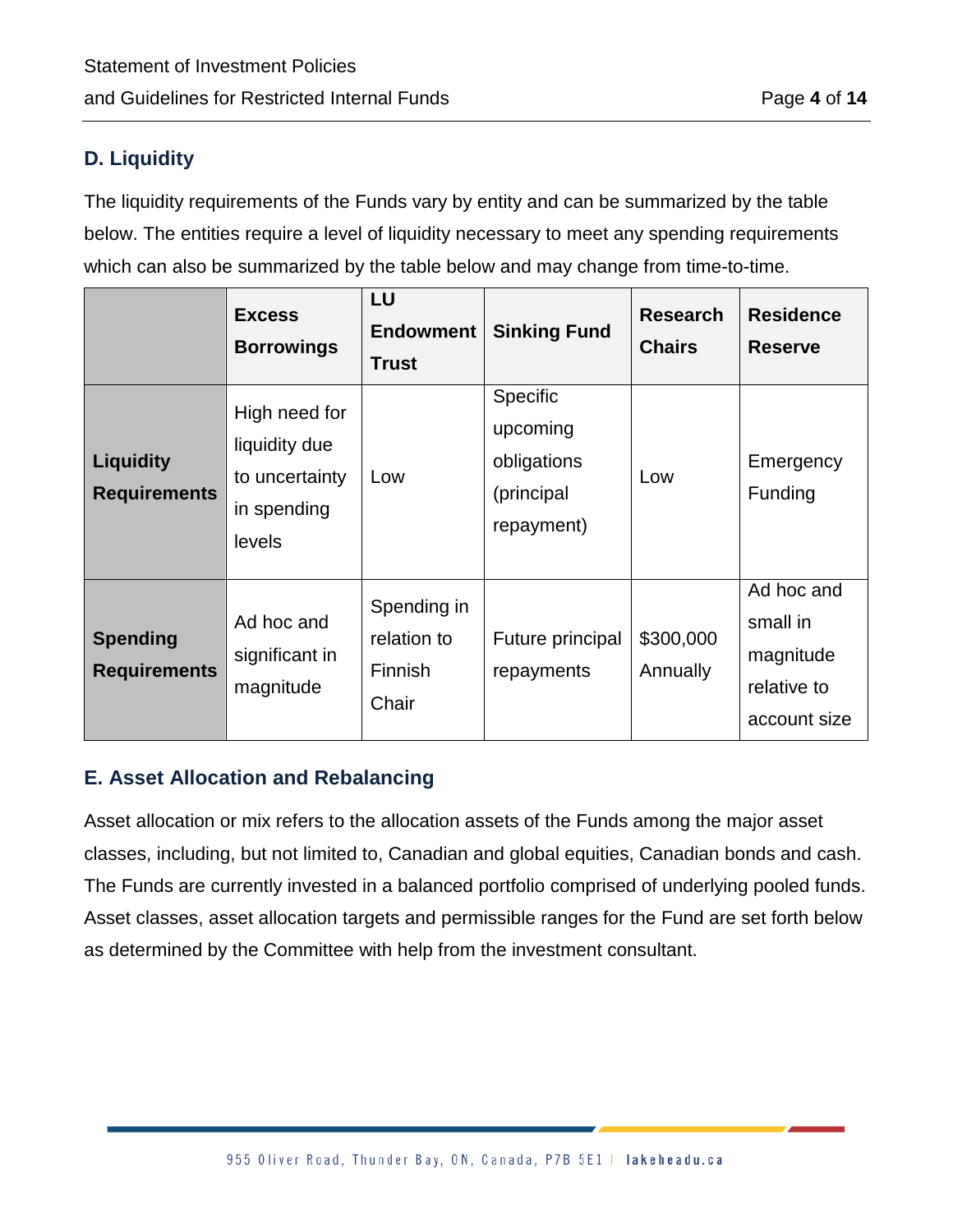#### **D. Liquidity**

The liquidity requirements of the Funds vary by entity and can be summarized by the table below. The entities require a level of liquidity necessary to meet any spending requirements which can also be summarized by the table below and may change from time-to-time.

|                                         | <b>Excess</b><br><b>Borrowings</b>                                        | LU<br><b>Endowment</b><br><b>Trust</b>                | <b>Sinking Fund</b>                                              | <b>Research</b><br><b>Chairs</b> | <b>Residence</b><br><b>Reserve</b>                                 |
|-----------------------------------------|---------------------------------------------------------------------------|-------------------------------------------------------|------------------------------------------------------------------|----------------------------------|--------------------------------------------------------------------|
| <b>Liquidity</b><br><b>Requirements</b> | High need for<br>liquidity due<br>to uncertainty<br>in spending<br>levels | Low                                                   | Specific<br>upcoming<br>obligations<br>(principal)<br>repayment) | Low                              | Emergency<br>Funding                                               |
| <b>Spending</b><br><b>Requirements</b>  | Ad hoc and<br>significant in<br>magnitude                                 | Spending in<br>relation to<br><b>Finnish</b><br>Chair | Future principal<br>repayments                                   | \$300,000<br>Annually            | Ad hoc and<br>small in<br>magnitude<br>relative to<br>account size |

#### **E. Asset Allocation and Rebalancing**

Asset allocation or mix refers to the allocation assets of the Funds among the major asset classes, including, but not limited to, Canadian and global equities, Canadian bonds and cash. The Funds are currently invested in a balanced portfolio comprised of underlying pooled funds. Asset classes, asset allocation targets and permissible ranges for the Fund are set forth below as determined by the Committee with help from the investment consultant.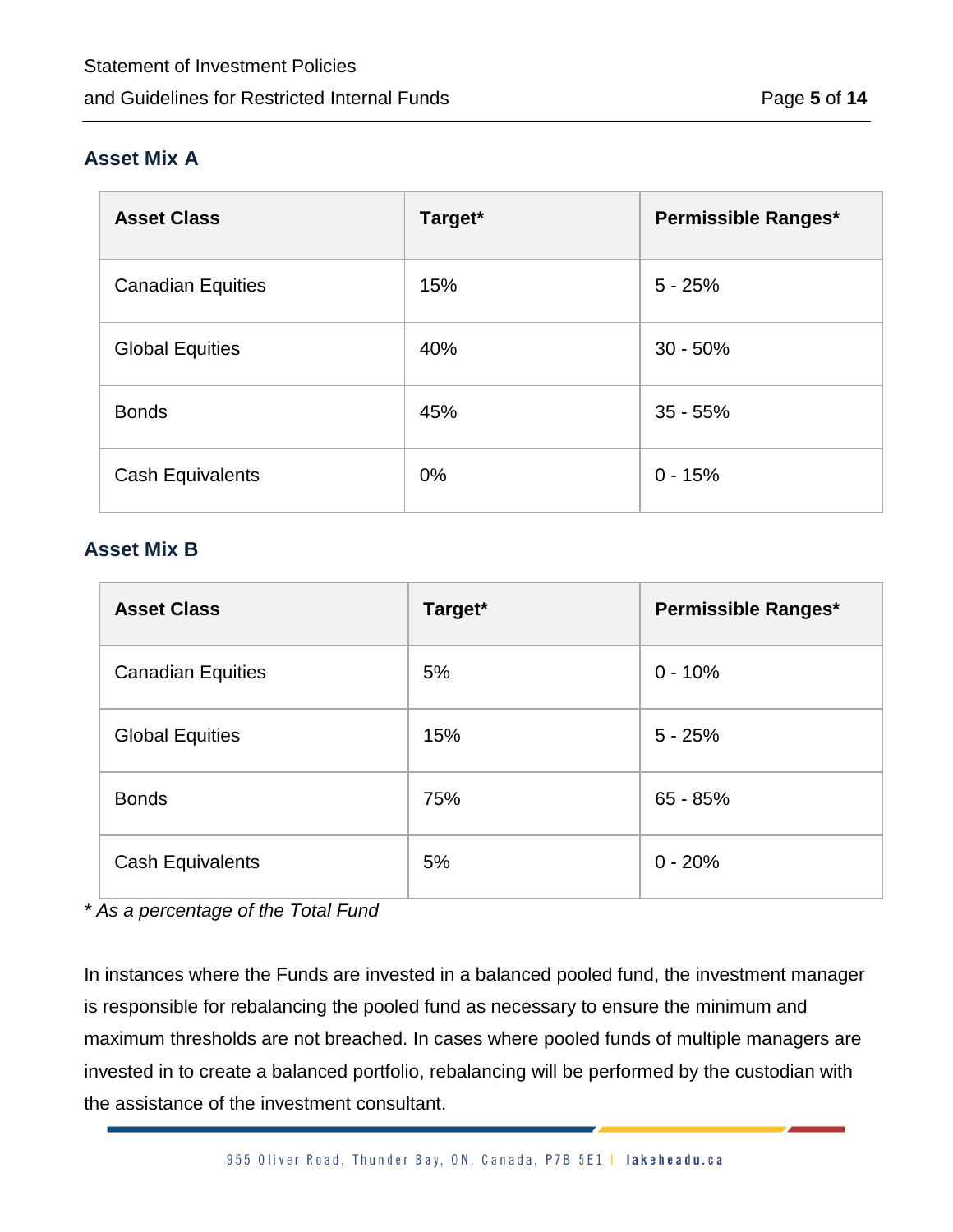#### **Asset Mix A**

| <b>Asset Class</b>       | Target* | <b>Permissible Ranges*</b> |
|--------------------------|---------|----------------------------|
| <b>Canadian Equities</b> | 15%     | $5 - 25%$                  |
| <b>Global Equities</b>   | 40%     | $30 - 50%$                 |
| <b>Bonds</b>             | 45%     | $35 - 55%$                 |
| <b>Cash Equivalents</b>  | $0\%$   | $0 - 15%$                  |

#### **Asset Mix B**

| <b>Asset Class</b>       | Target* | <b>Permissible Ranges*</b> |
|--------------------------|---------|----------------------------|
| <b>Canadian Equities</b> | 5%      | $0 - 10%$                  |
| <b>Global Equities</b>   | 15%     | $5 - 25%$                  |
| <b>Bonds</b>             | 75%     | $65 - 85%$                 |
| <b>Cash Equivalents</b>  | 5%      | $0 - 20%$                  |

*\* As a percentage of the Total Fund*

In instances where the Funds are invested in a balanced pooled fund, the investment manager is responsible for rebalancing the pooled fund as necessary to ensure the minimum and maximum thresholds are not breached. In cases where pooled funds of multiple managers are invested in to create a balanced portfolio, rebalancing will be performed by the custodian with the assistance of the investment consultant.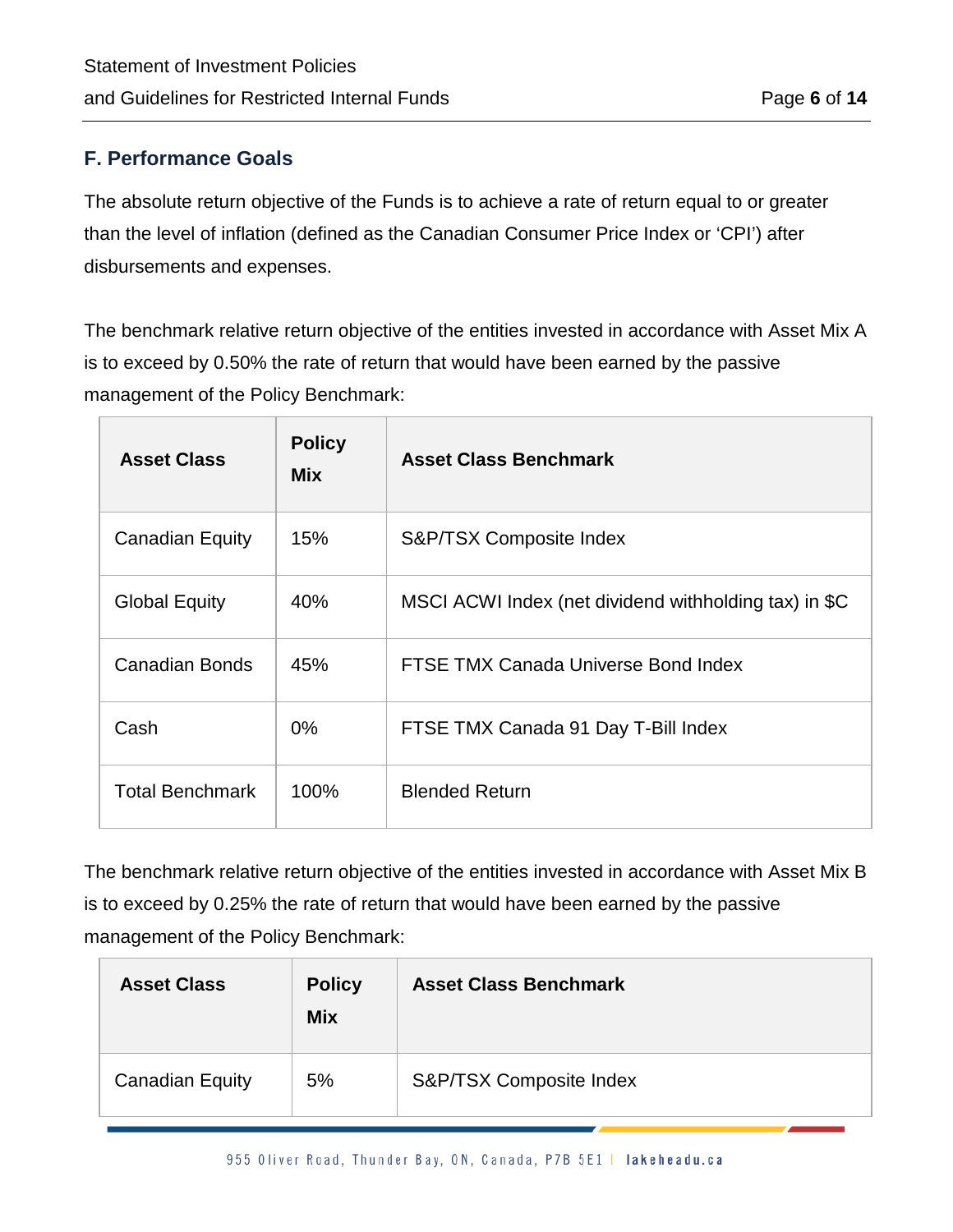#### **F. Performance Goals**

The absolute return objective of the Funds is to achieve a rate of return equal to or greater than the level of inflation (defined as the Canadian Consumer Price Index or 'CPI') after disbursements and expenses.

The benchmark relative return objective of the entities invested in accordance with Asset Mix A is to exceed by 0.50% the rate of return that would have been earned by the passive management of the Policy Benchmark:

| <b>Asset Class</b>     | <b>Policy</b><br><b>Mix</b> | <b>Asset Class Benchmark</b>                          |
|------------------------|-----------------------------|-------------------------------------------------------|
| <b>Canadian Equity</b> | 15%                         | S&P/TSX Composite Index                               |
| <b>Global Equity</b>   | 40%                         | MSCI ACWI Index (net dividend withholding tax) in \$C |
| <b>Canadian Bonds</b>  | 45%                         | FTSE TMX Canada Universe Bond Index                   |
| Cash                   | $0\%$                       | FTSE TMX Canada 91 Day T-Bill Index                   |
| <b>Total Benchmark</b> | 100%                        | <b>Blended Return</b>                                 |

The benchmark relative return objective of the entities invested in accordance with Asset Mix B is to exceed by 0.25% the rate of return that would have been earned by the passive management of the Policy Benchmark:

| <b>Asset Class</b>     | <b>Policy</b><br><b>Mix</b> | <b>Asset Class Benchmark</b> |
|------------------------|-----------------------------|------------------------------|
| <b>Canadian Equity</b> | 5%                          | S&P/TSX Composite Index      |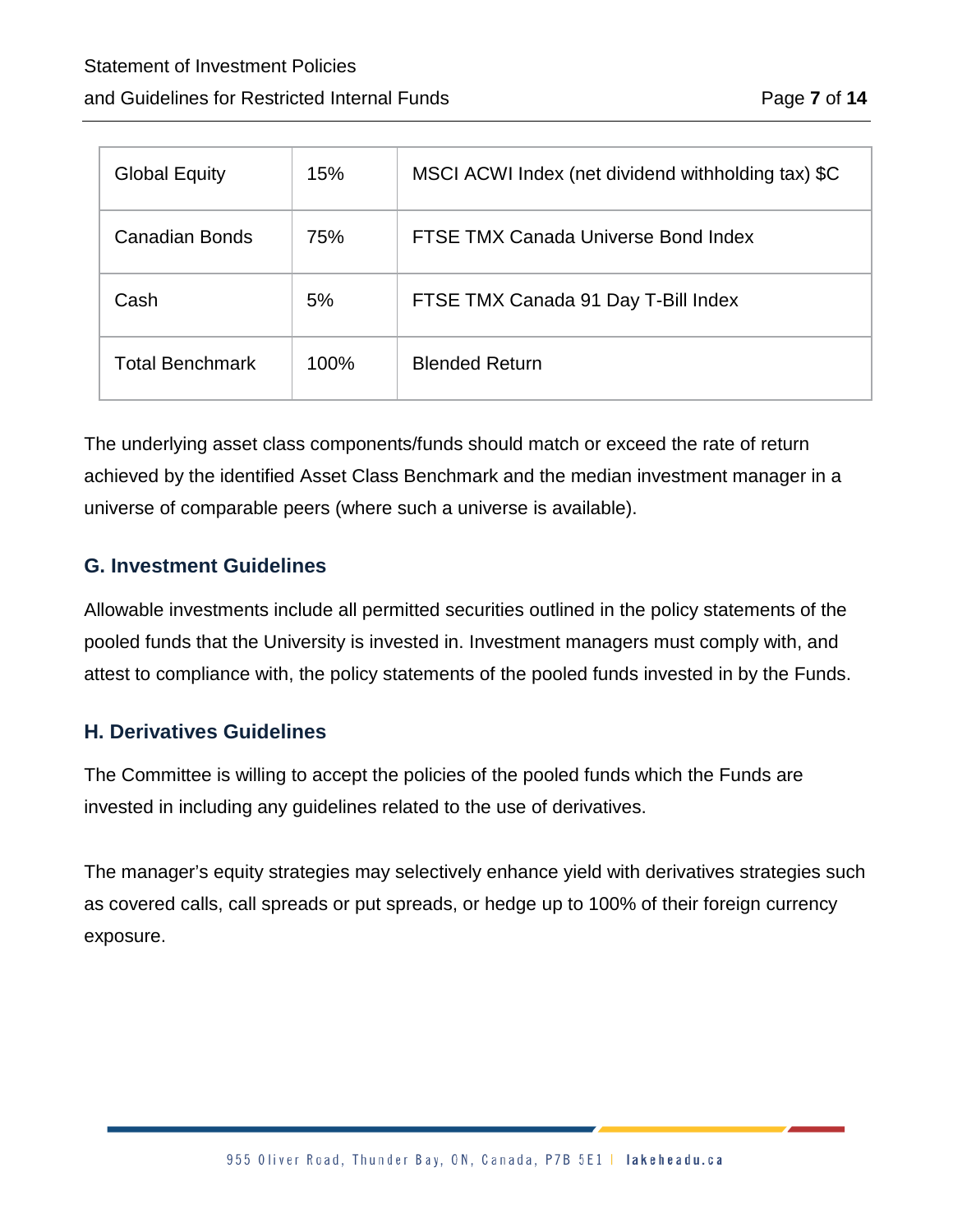| <b>Global Equity</b>   | 15%  | MSCI ACWI Index (net dividend withholding tax) \$C |
|------------------------|------|----------------------------------------------------|
| Canadian Bonds         | 75%  | FTSE TMX Canada Universe Bond Index                |
| Cash                   | 5%   | FTSE TMX Canada 91 Day T-Bill Index                |
| <b>Total Benchmark</b> | 100% | <b>Blended Return</b>                              |

The underlying asset class components/funds should match or exceed the rate of return achieved by the identified Asset Class Benchmark and the median investment manager in a universe of comparable peers (where such a universe is available).

#### **G. Investment Guidelines**

Allowable investments include all permitted securities outlined in the policy statements of the pooled funds that the University is invested in. Investment managers must comply with, and attest to compliance with, the policy statements of the pooled funds invested in by the Funds.

#### **H. Derivatives Guidelines**

The Committee is willing to accept the policies of the pooled funds which the Funds are invested in including any guidelines related to the use of derivatives.

The manager's equity strategies may selectively enhance yield with derivatives strategies such as covered calls, call spreads or put spreads, or hedge up to 100% of their foreign currency exposure.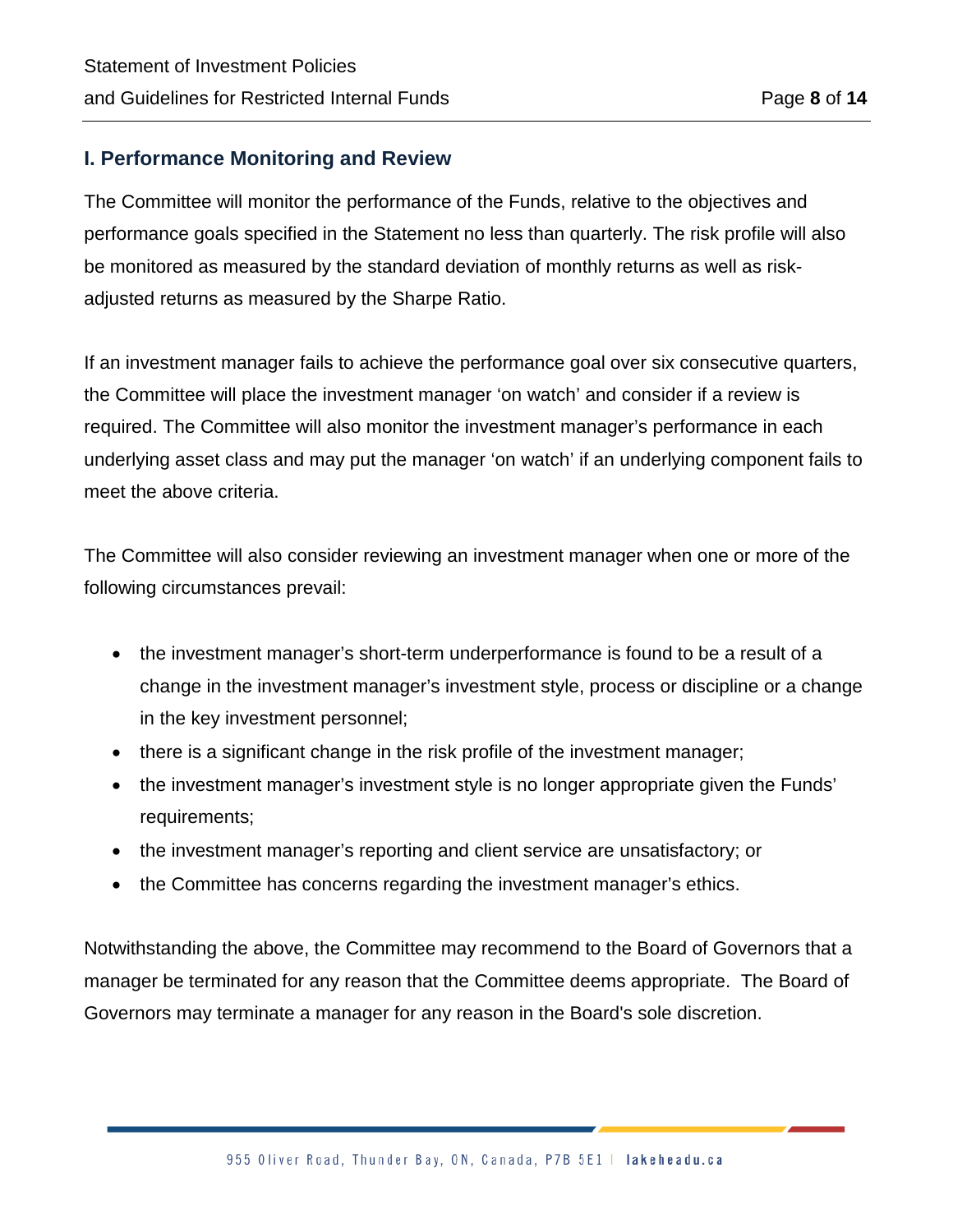#### **I. Performance Monitoring and Review**

The Committee will monitor the performance of the Funds, relative to the objectives and performance goals specified in the Statement no less than quarterly. The risk profile will also be monitored as measured by the standard deviation of monthly returns as well as riskadjusted returns as measured by the Sharpe Ratio.

If an investment manager fails to achieve the performance goal over six consecutive quarters, the Committee will place the investment manager 'on watch' and consider if a review is required. The Committee will also monitor the investment manager's performance in each underlying asset class and may put the manager 'on watch' if an underlying component fails to meet the above criteria.

The Committee will also consider reviewing an investment manager when one or more of the following circumstances prevail:

- the investment manager's short-term underperformance is found to be a result of a change in the investment manager's investment style, process or discipline or a change in the key investment personnel;
- there is a significant change in the risk profile of the investment manager;
- the investment manager's investment style is no longer appropriate given the Funds' requirements;
- the investment manager's reporting and client service are unsatisfactory; or
- the Committee has concerns regarding the investment manager's ethics.

Notwithstanding the above, the Committee may recommend to the Board of Governors that a manager be terminated for any reason that the Committee deems appropriate. The Board of Governors may terminate a manager for any reason in the Board's sole discretion.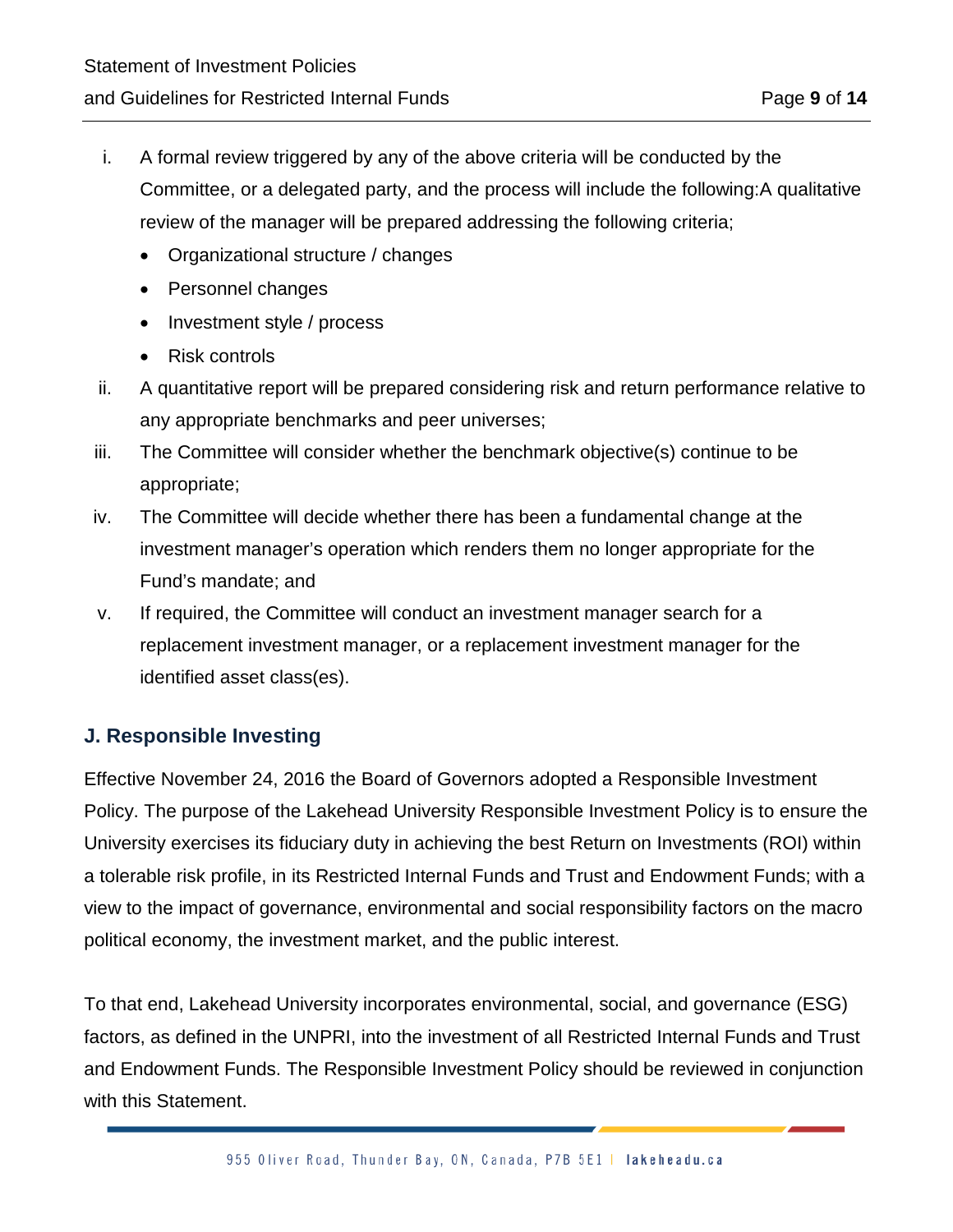- i. A formal review triggered by any of the above criteria will be conducted by the Committee, or a delegated party, and the process will include the following:A qualitative review of the manager will be prepared addressing the following criteria;
	- Organizational structure / changes
	- Personnel changes
	- Investment style / process
	- Risk controls
- ii. A quantitative report will be prepared considering risk and return performance relative to any appropriate benchmarks and peer universes;
- iii. The Committee will consider whether the benchmark objective(s) continue to be appropriate;
- iv. The Committee will decide whether there has been a fundamental change at the investment manager's operation which renders them no longer appropriate for the Fund's mandate; and
- v. If required, the Committee will conduct an investment manager search for a replacement investment manager, or a replacement investment manager for the identified asset class(es).

#### **J. Responsible Investing**

Effective November 24, 2016 the Board of Governors adopted a Responsible Investment Policy. The purpose of the Lakehead University Responsible Investment Policy is to ensure the University exercises its fiduciary duty in achieving the best Return on Investments (ROI) within a tolerable risk profile, in its Restricted Internal Funds and Trust and Endowment Funds; with a view to the impact of governance, environmental and social responsibility factors on the macro political economy, the investment market, and the public interest.

To that end, Lakehead University incorporates environmental, social, and governance (ESG) factors, as defined in the UNPRI, into the investment of all Restricted Internal Funds and Trust and Endowment Funds. The Responsible Investment Policy should be reviewed in conjunction with this Statement.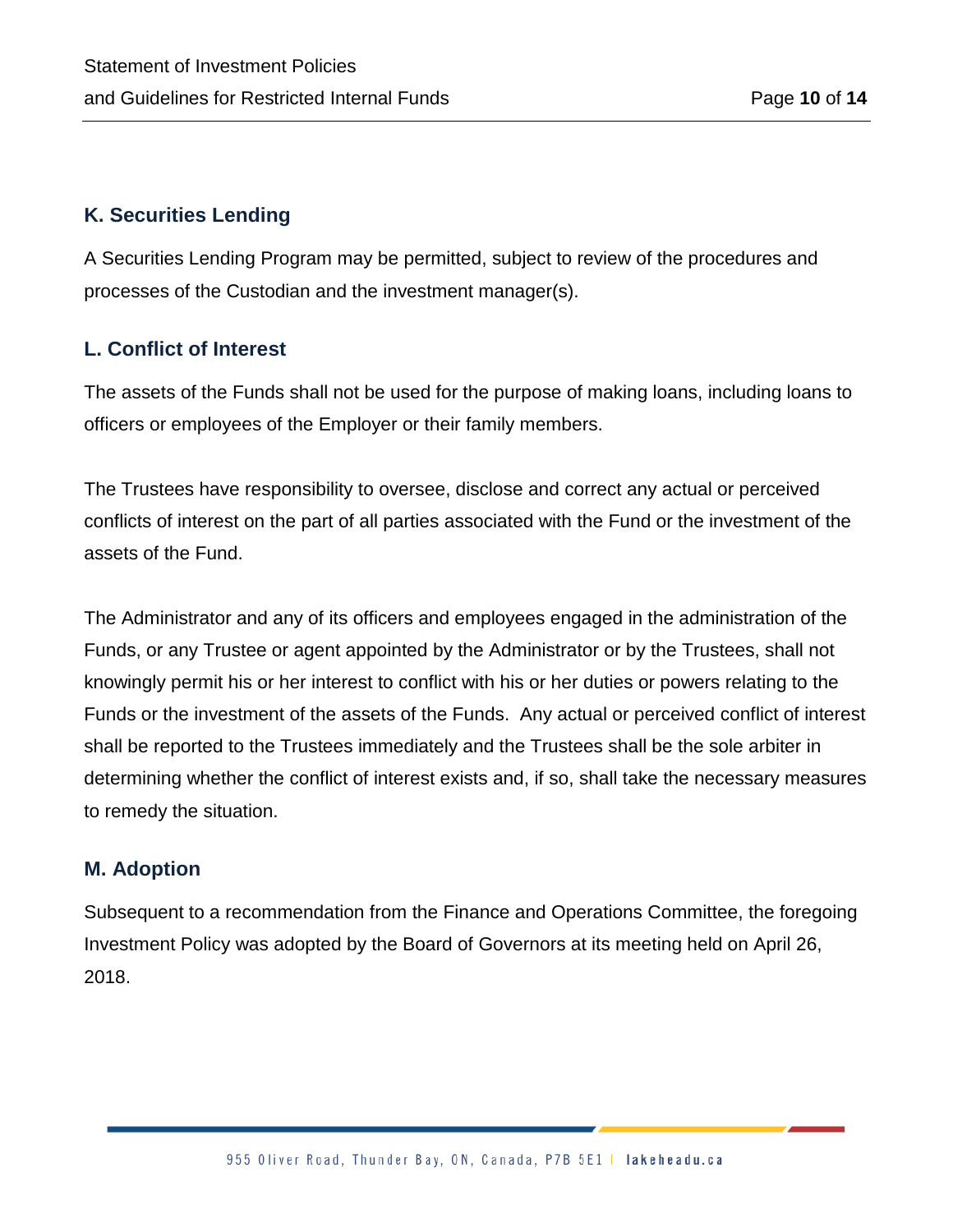#### **K. Securities Lending**

A Securities Lending Program may be permitted, subject to review of the procedures and processes of the Custodian and the investment manager(s).

#### **L. Conflict of Interest**

The assets of the Funds shall not be used for the purpose of making loans, including loans to officers or employees of the Employer or their family members.

The Trustees have responsibility to oversee, disclose and correct any actual or perceived conflicts of interest on the part of all parties associated with the Fund or the investment of the assets of the Fund.

The Administrator and any of its officers and employees engaged in the administration of the Funds, or any Trustee or agent appointed by the Administrator or by the Trustees, shall not knowingly permit his or her interest to conflict with his or her duties or powers relating to the Funds or the investment of the assets of the Funds. Any actual or perceived conflict of interest shall be reported to the Trustees immediately and the Trustees shall be the sole arbiter in determining whether the conflict of interest exists and, if so, shall take the necessary measures to remedy the situation.

#### **M. Adoption**

Subsequent to a recommendation from the Finance and Operations Committee, the foregoing Investment Policy was adopted by the Board of Governors at its meeting held on April 26, 2018.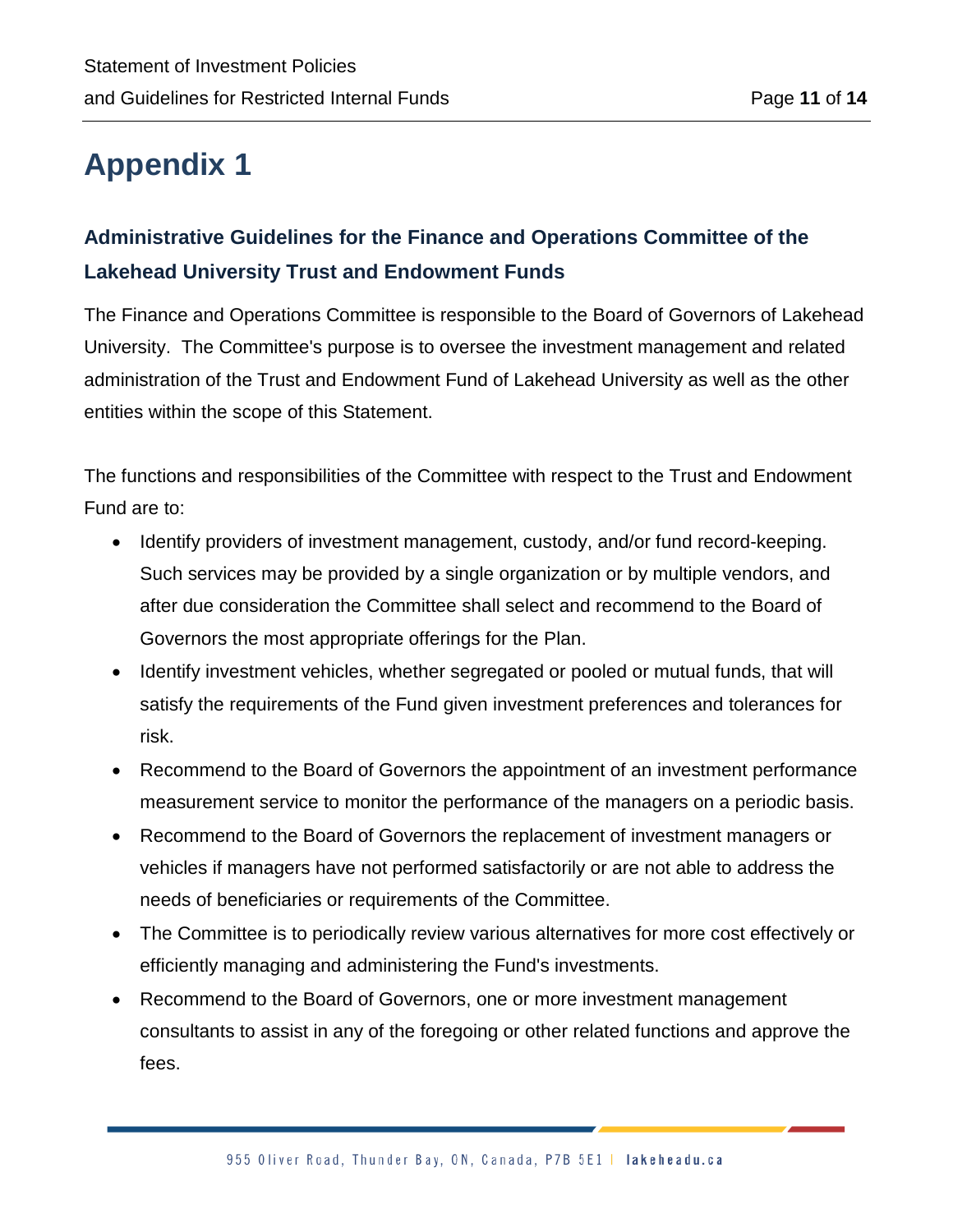## **Appendix 1**

### **Administrative Guidelines for the Finance and Operations Committee of the Lakehead University Trust and Endowment Funds**

The Finance and Operations Committee is responsible to the Board of Governors of Lakehead University. The Committee's purpose is to oversee the investment management and related administration of the Trust and Endowment Fund of Lakehead University as well as the other entities within the scope of this Statement.

The functions and responsibilities of the Committee with respect to the Trust and Endowment Fund are to:

- Identify providers of investment management, custody, and/or fund record-keeping. Such services may be provided by a single organization or by multiple vendors, and after due consideration the Committee shall select and recommend to the Board of Governors the most appropriate offerings for the Plan.
- Identify investment vehicles, whether segregated or pooled or mutual funds, that will satisfy the requirements of the Fund given investment preferences and tolerances for risk.
- Recommend to the Board of Governors the appointment of an investment performance measurement service to monitor the performance of the managers on a periodic basis.
- Recommend to the Board of Governors the replacement of investment managers or vehicles if managers have not performed satisfactorily or are not able to address the needs of beneficiaries or requirements of the Committee.
- The Committee is to periodically review various alternatives for more cost effectively or efficiently managing and administering the Fund's investments.
- Recommend to the Board of Governors, one or more investment management consultants to assist in any of the foregoing or other related functions and approve the fees.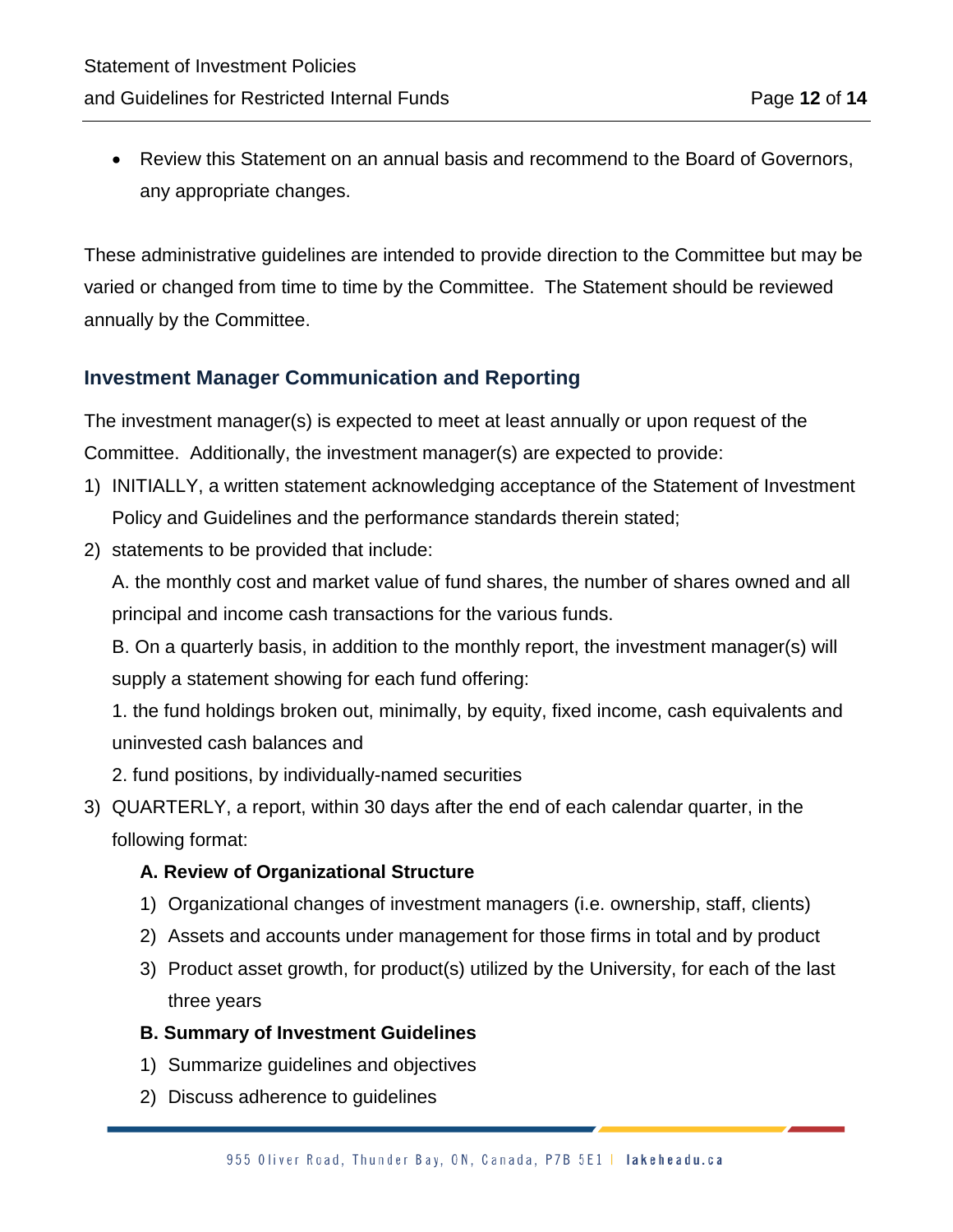• Review this Statement on an annual basis and recommend to the Board of Governors, any appropriate changes.

These administrative guidelines are intended to provide direction to the Committee but may be varied or changed from time to time by the Committee. The Statement should be reviewed annually by the Committee.

#### **Investment Manager Communication and Reporting**

The investment manager(s) is expected to meet at least annually or upon request of the Committee. Additionally, the investment manager(s) are expected to provide:

- 1) INITIALLY, a written statement acknowledging acceptance of the Statement of Investment Policy and Guidelines and the performance standards therein stated;
- 2) statements to be provided that include:

A. the monthly cost and market value of fund shares, the number of shares owned and all principal and income cash transactions for the various funds.

B. On a quarterly basis, in addition to the monthly report, the investment manager(s) will supply a statement showing for each fund offering:

1. the fund holdings broken out, minimally, by equity, fixed income, cash equivalents and uninvested cash balances and

- 2. fund positions, by individually-named securities
- 3) QUARTERLY, a report, within 30 days after the end of each calendar quarter, in the following format:

#### **A. Review of Organizational Structure**

- 1) Organizational changes of investment managers (i.e. ownership, staff, clients)
- 2) Assets and accounts under management for those firms in total and by product
- 3) Product asset growth, for product(s) utilized by the University, for each of the last three years

#### **B. Summary of Investment Guidelines**

- 1) Summarize guidelines and objectives
- 2) Discuss adherence to guidelines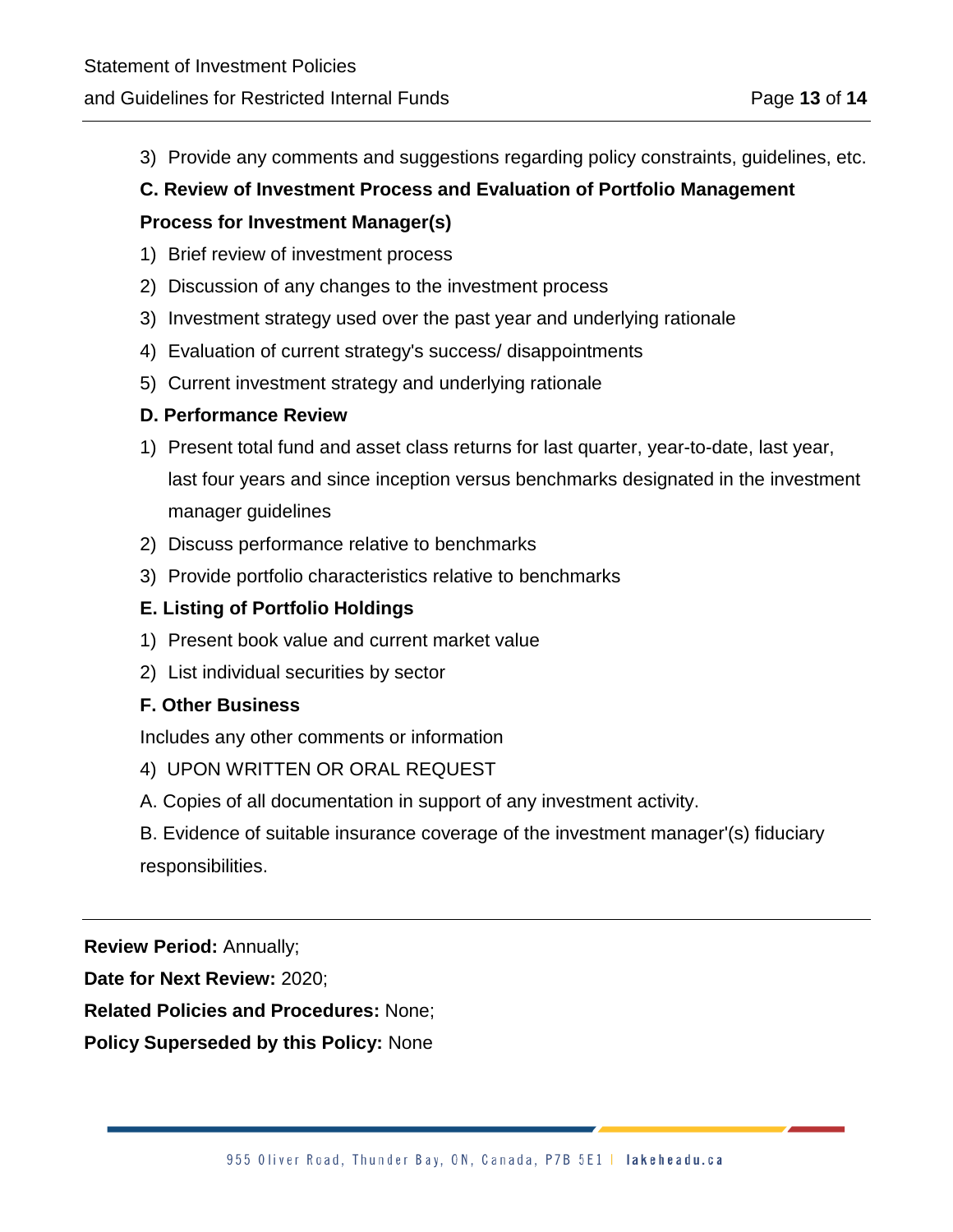3) Provide any comments and suggestions regarding policy constraints, guidelines, etc.

#### **C. Review of Investment Process and Evaluation of Portfolio Management**

#### **Process for Investment Manager(s)**

- 1) Brief review of investment process
- 2) Discussion of any changes to the investment process
- 3) Investment strategy used over the past year and underlying rationale
- 4) Evaluation of current strategy's success/ disappointments
- 5) Current investment strategy and underlying rationale

#### **D. Performance Review**

- 1) Present total fund and asset class returns for last quarter, year-to-date, last year, last four years and since inception versus benchmarks designated in the investment manager guidelines
- 2) Discuss performance relative to benchmarks
- 3) Provide portfolio characteristics relative to benchmarks

#### **E. Listing of Portfolio Holdings**

- 1) Present book value and current market value
- 2) List individual securities by sector

#### **F. Other Business**

Includes any other comments or information

- 4) UPON WRITTEN OR ORAL REQUEST
- A. Copies of all documentation in support of any investment activity.

B. Evidence of suitable insurance coverage of the investment manager'(s) fiduciary responsibilities.

**Review Period:** Annually;

**Date for Next Review:** 2020;

**Related Policies and Procedures:** None;

**Policy Superseded by this Policy:** None